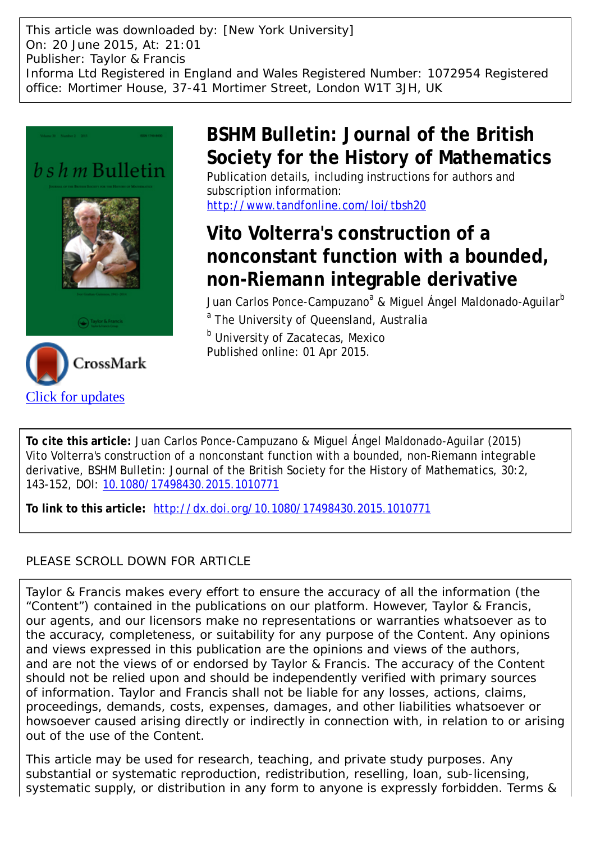This article was downloaded by: [New York University] On: 20 June 2015, At: 21:01 Publisher: Taylor & Francis Informa Ltd Registered in England and Wales Registered Number: 1072954 Registered office: Mortimer House, 37-41 Mortimer Street, London W1T 3JH, UK



[Click for updates](http://crossmark.crossref.org/dialog/?doi=10.1080/17498430.2015.1010771&domain=pdf&date_stamp=2015-04-01)

# **BSHM Bulletin: Journal of the British Society for the History of Mathematics**

Publication details, including instructions for authors and subscription information:

<http://www.tandfonline.com/loi/tbsh20>

## **Vito Volterra's construction of a nonconstant function with a bounded, non-Riemann integrable derivative**

Juan Carlos Ponce-Campuzano<sup>a</sup> & Miguel Ángel Maldonado-Aguilar<sup>b</sup>

<sup>a</sup> The University of Queensland, Australia

**b** University of Zacatecas, Mexico Published online: 01 Apr 2015.

**To cite this article:** Juan Carlos Ponce-Campuzano & Miguel Ángel Maldonado-Aguilar (2015) Vito Volterra's construction of a nonconstant function with a bounded, non-Riemann integrable derivative, BSHM Bulletin: Journal of the British Society for the History of Mathematics, 30:2, 143-152, DOI: [10.1080/17498430.2015.1010771](http://www.tandfonline.com/action/showCitFormats?doi=10.1080/17498430.2015.1010771)

**To link to this article:** <http://dx.doi.org/10.1080/17498430.2015.1010771>

### PLEASE SCROLL DOWN FOR ARTICLE

Taylor & Francis makes every effort to ensure the accuracy of all the information (the "Content") contained in the publications on our platform. However, Taylor & Francis, our agents, and our licensors make no representations or warranties whatsoever as to the accuracy, completeness, or suitability for any purpose of the Content. Any opinions and views expressed in this publication are the opinions and views of the authors, and are not the views of or endorsed by Taylor & Francis. The accuracy of the Content should not be relied upon and should be independently verified with primary sources of information. Taylor and Francis shall not be liable for any losses, actions, claims, proceedings, demands, costs, expenses, damages, and other liabilities whatsoever or howsoever caused arising directly or indirectly in connection with, in relation to or arising out of the use of the Content.

This article may be used for research, teaching, and private study purposes. Any substantial or systematic reproduction, redistribution, reselling, loan, sub-licensing, systematic supply, or distribution in any form to anyone is expressly forbidden. Terms &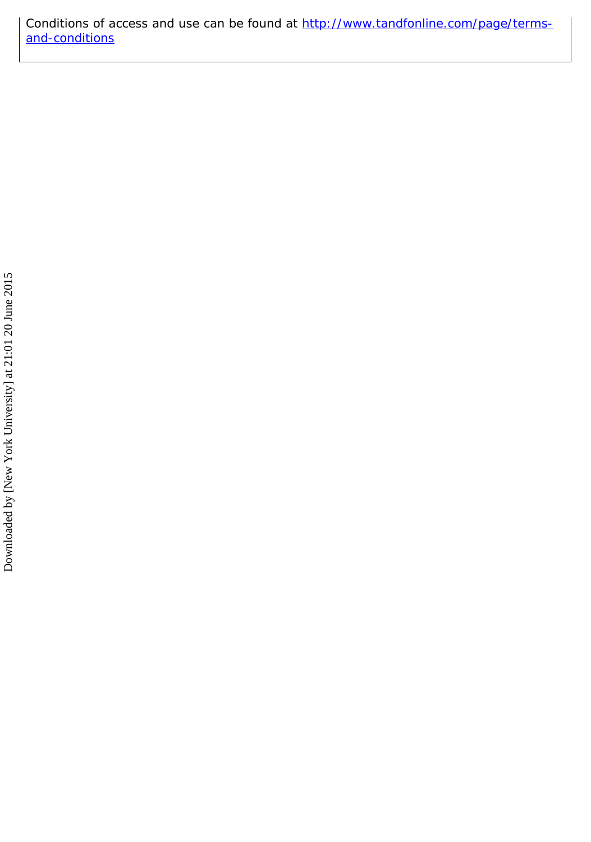Conditions of access and use can be found at [http://www.tandfonline.com/page/terms](http://www.tandfonline.com/page/terms-and-conditions)[and-conditions](http://www.tandfonline.com/page/terms-and-conditions)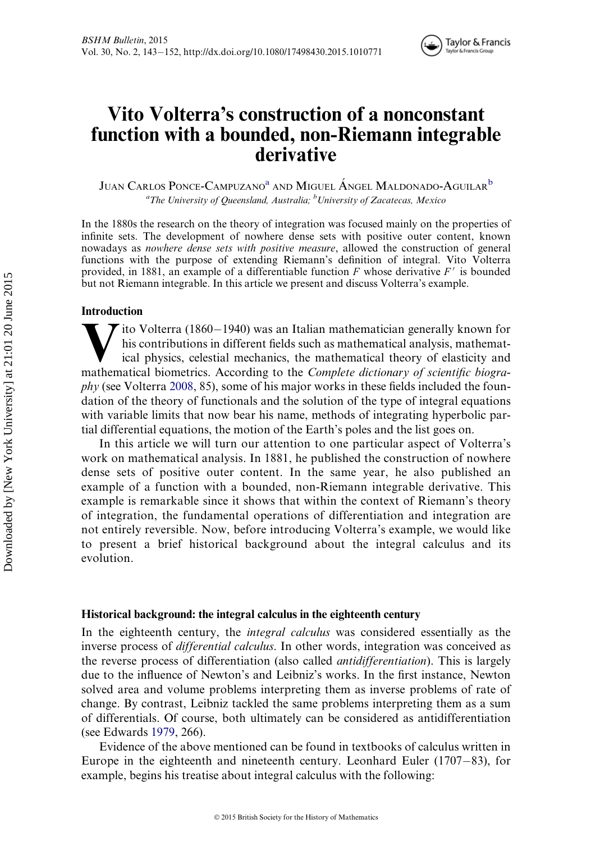### Vito Volterra's construction of a nonconstant function with a bounded, non-Riemann integrable derivative

JUAN CARLOS PONCE-CAMPUZANO<sup>[a](#page-2-0)</sup> and Miguel Ángel Maldonado-Aguilar<sup>[b](#page-2-0)</sup> <sup>a</sup>The University of Queensland, Australia;  ${}^{b}$ University of Zacatecas, Mexico

<span id="page-2-0"></span>In the 1880s the research on the theory of integration was focused mainly on the properties of infinite sets. The development of nowhere dense sets with positive outer content, known nowadays as nowhere dense sets with positive measure, allowed the construction of general functions with the purpose of extending Riemann's definition of integral. Vito Volterra provided, in 1881, an example of a differentiable function F whose derivative  $F'$  is bounded but not Riemann integrable. In this article we present and discuss Volterra's example.

#### Introduction

Vito Volterra (1860–1940) was an Italian mathematician generally known for<br>his contributions in different fields such as mathematical analysis, mathemat-<br>ical physics, celestial mechanics, the mathematical theory of elast his contributions in different fields such as mathematical analysis, mathematical physics, celestial mechanics, the mathematical theory of elasticity and mathematical biometrics. According to the Complete dictionary of scientific biogra $phv$  (see Volterra [2008,](#page-11-0) 85), some of his major works in these fields included the foundation of the theory of functionals and the solution of the type of integral equations with variable limits that now bear his name, methods of integrating hyperbolic partial differential equations, the motion of the Earth's poles and the list goes on.

In this article we will turn our attention to one particular aspect of Volterra's work on mathematical analysis. In 1881, he published the construction of nowhere dense sets of positive outer content. In the same year, he also published an example of a function with a bounded, non-Riemann integrable derivative. This example is remarkable since it shows that within the context of Riemann's theory of integration, the fundamental operations of differentiation and integration are not entirely reversible. Now, before introducing Volterra's example, we would like to present a brief historical background about the integral calculus and its evolution.

#### Historical background: the integral calculus in the eighteenth century

In the eighteenth century, the *integral calculus* was considered essentially as the inverse process of differential calculus. In other words, integration was conceived as the reverse process of differentiation (also called antidifferentiation). This is largely due to the influence of Newton's and Leibniz's works. In the first instance, Newton solved area and volume problems interpreting them as inverse problems of rate of change. By contrast, Leibniz tackled the same problems interpreting them as a sum of differentials. Of course, both ultimately can be considered as antidifferentiation (see Edwards [1979](#page-11-1), 266).

Evidence of the above mentioned can be found in textbooks of calculus written in Europe in the eighteenth and nineteenth century. Leonhard Euler  $(1707-83)$ , for example, begins his treatise about integral calculus with the following: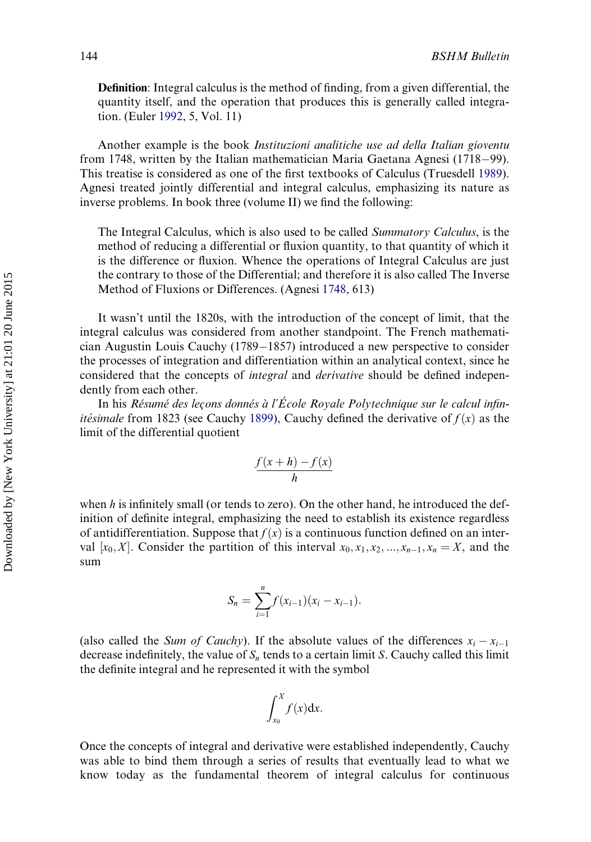Definition: Integral calculus is the method of finding, from a given differential, the quantity itself, and the operation that produces this is generally called integration. (Euler [1992,](#page-11-2) 5, Vol. 11)

Another example is the book Instituzioni analitiche use ad della Italian gioventu from 1748, written by the Italian mathematician Maria Gaetana Agnesi (1718–99). This treatise is considered as one of the first textbooks of Calculus (Truesdell [1989](#page-11-3)). Agnesi treated jointly differential and integral calculus, emphasizing its nature as inverse problems. In book three (volume II) we find the following:

The Integral Calculus, which is also used to be called Summatory Calculus, is the method of reducing a differential or fluxion quantity, to that quantity of which it is the difference or fluxion. Whence the operations of Integral Calculus are just the contrary to those of the Differential; and therefore it is also called The Inverse Method of Fluxions or Differences. (Agnesi [1748](#page-11-4), 613)

It wasn't until the 1820s, with the introduction of the concept of limit, that the integral calculus was considered from another standpoint. The French mathematician Augustin Louis Cauchy  $(1789-1857)$  introduced a new perspective to consider the processes of integration and differentiation within an analytical context, since he considered that the concepts of *integral* and *derivative* should be defined independently from each other.

In his Résumé des lecons donnés à l'École Royale Polytechnique sur le calcul infin-itésimale from 1823 (see Cauchy [1899](#page-11-5)), Cauchy defined the derivative of  $f(x)$  as the limit of the differential quotient

$$
\frac{f(x+h)-f(x)}{h}
$$

when  $h$  is infinitely small (or tends to zero). On the other hand, he introduced the definition of definite integral, emphasizing the need to establish its existence regardless of antidifferentiation. Suppose that  $f(x)$  is a continuous function defined on an interval  $[x_0, X]$ . Consider the partition of this interval  $x_0, x_1, x_2, ..., x_{n-1}, x_n = X$ , and the sum

$$
S_n = \sum_{i=1}^n f(x_{i-1})(x_i - x_{i-1}).
$$

(also called the Sum of Cauchy). If the absolute values of the differences  $x_i - x_{i-1}$ decrease indefinitely, the value of  $S_n$  tends to a certain limit S. Cauchy called this limit the definite integral and he represented it with the symbol

$$
\int_{x_0}^X f(x) \mathrm{d} x.
$$

Once the concepts of integral and derivative were established independently, Cauchy was able to bind them through a series of results that eventually lead to what we know today as the fundamental theorem of integral calculus for continuous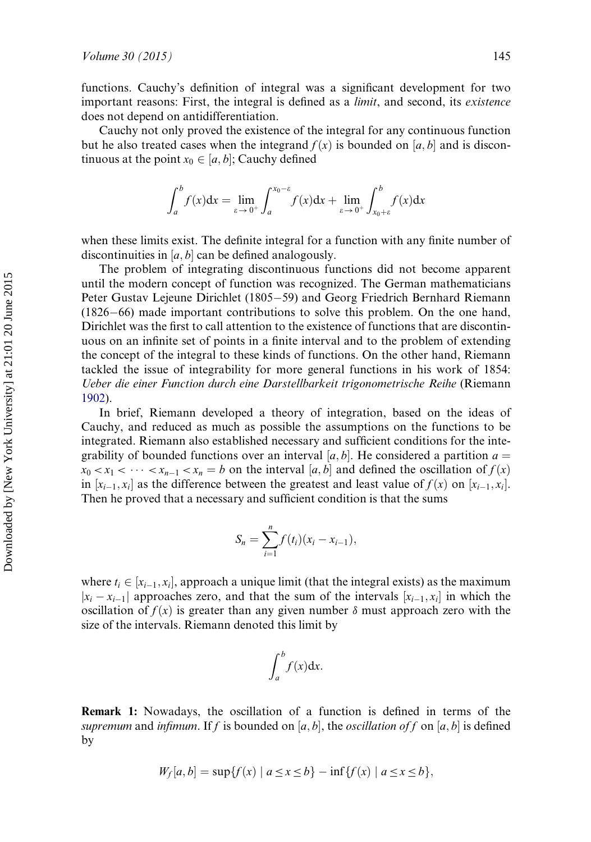functions. Cauchy's definition of integral was a significant development for two important reasons: First, the integral is defined as a limit, and second, its existence does not depend on antidifferentiation.

Cauchy not only proved the existence of the integral for any continuous function but he also treated cases when the integrand  $f(x)$  is bounded on [a, b] and is discontinuous at the point  $x_0 \in [a, b]$ ; Cauchy defined

$$
\int_{a}^{b} f(x) dx = \lim_{\varepsilon \to 0^{+}} \int_{a}^{x_{0} - \varepsilon} f(x) dx + \lim_{\varepsilon \to 0^{+}} \int_{x_{0} + \varepsilon}^{b} f(x) dx
$$

when these limits exist. The definite integral for a function with any finite number of discontinuities in  $[a, b]$  can be defined analogously.

The problem of integrating discontinuous functions did not become apparent until the modern concept of function was recognized. The German mathematicians Peter Gustav Lejeune Dirichlet (1805–59) and Georg Friedrich Bernhard Riemann  $(1826-66)$  made important contributions to solve this problem. On the one hand, Dirichlet was the first to call attention to the existence of functions that are discontinuous on an infinite set of points in a finite interval and to the problem of extending the concept of the integral to these kinds of functions. On the other hand, Riemann tackled the issue of integrability for more general functions in his work of 1854: Ueber die einer Function durch eine Darstellbarkeit trigonometrische Reihe (Riemann [1902\)](#page-11-6).

In brief, Riemann developed a theory of integration, based on the ideas of Cauchy, and reduced as much as possible the assumptions on the functions to be integrated. Riemann also established necessary and sufficient conditions for the integrability of bounded functions over an interval [a, b]. He considered a partition  $a =$  $x_0 < x_1 < \cdots < x_{n-1} < x_n = b$  on the interval [a, b] and defined the oscillation of  $f(x)$ in  $[x_{i-1}, x_i]$  as the difference between the greatest and least value of  $f(x)$  on  $[x_{i-1}, x_i]$ . Then he proved that a necessary and sufficient condition is that the sums

$$
S_n = \sum_{i=1}^n f(t_i)(x_i - x_{i-1}),
$$

where  $t_i \in [x_{i-1}, x_i]$ , approach a unique limit (that the integral exists) as the maximum  $|x_i - x_{i-1}|$  approaches zero, and that the sum of the intervals  $[x_{i-1}, x_i]$  in which the oscillation of  $f(x)$  is greater than any given number  $\delta$  must approach zero with the size of the intervals. Riemann denoted this limit by

$$
\int_a^b f(x) \mathrm{d} x.
$$

Remark 1: Nowadays, the oscillation of a function is defined in terms of the supremum and infimum. If f is bounded on [a, b], the oscillation of f on [a, b] is defined by

$$
W_f[a, b] = \sup\{f(x) \mid a \le x \le b\} - \inf\{f(x) \mid a \le x \le b\},\
$$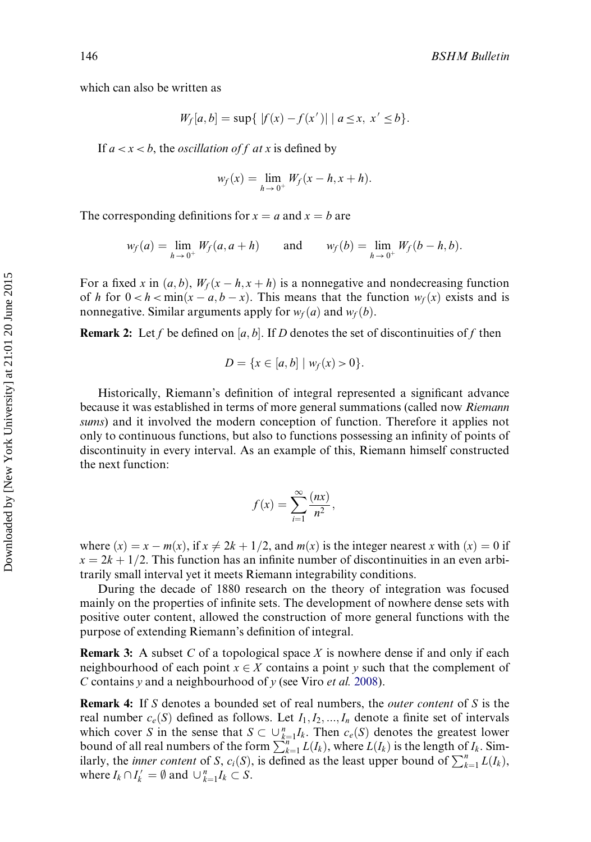which can also be written as

$$
W_f[a, b] = \sup\{|f(x) - f(x')| \mid a \le x, x' \le b\}.
$$

If  $a < x < b$ , the *oscillation of f at x* is defined by

$$
w_f(x) = \lim_{h \to 0^+} W_f(x - h, x + h).
$$

The corresponding definitions for  $x = a$  and  $x = b$  are

$$
w_f(a) = \lim_{h \to 0^+} W_f(a, a + h)
$$
 and  $w_f(b) = \lim_{h \to 0^+} W_f(b - h, b).$ 

For a fixed x in  $(a, b)$ ,  $W_f(x - h, x + h)$  is a nonnegative and nondecreasing function of h for  $0 < h < min(x - a, b - x)$ . This means that the function  $w_f(x)$  exists and is nonnegative. Similar arguments apply for  $w_f(a)$  and  $w_f(b)$ .

**Remark 2:** Let f be defined on [a, b]. If D denotes the set of discontinuities of f then

$$
D = \{x \in [a, b] \mid w_f(x) > 0\}.
$$

Historically, Riemann's definition of integral represented a significant advance because it was established in terms of more general summations (called now Riemann sums) and it involved the modern conception of function. Therefore it applies not only to continuous functions, but also to functions possessing an infinity of points of discontinuity in every interval. As an example of this, Riemann himself constructed the next function:

$$
f(x) = \sum_{i=1}^{\infty} \frac{(nx)}{n^2},
$$

where  $(x) = x - m(x)$ , if  $x \neq 2k + 1/2$ , and  $m(x)$  is the integer nearest x with  $(x) = 0$  if  $x = 2k + 1/2$ . This function has an infinite number of discontinuities in an even arbitrarily small interval yet it meets Riemann integrability conditions.

During the decade of 1880 research on the theory of integration was focused mainly on the properties of infinite sets. The development of nowhere dense sets with positive outer content, allowed the construction of more general functions with the purpose of extending Riemann's definition of integral.

**Remark 3:** A subset C of a topological space X is nowhere dense if and only if each neighbourhood of each point  $x \in X$  contains a point y such that the complement of C contains y and a neighbourhood of y (see Viro et al. [2008\)](#page-11-7).

**Remark 4:** If S denotes a bounded set of real numbers, the *outer content* of S is the real number  $c_e(S)$  defined as follows. Let  $I_1, I_2, ..., I_n$  denote a finite set of intervals which cover S in the sense that  $S \subset \bigcup_{k=1}^{n} I_k$ . Then  $c_e(S)$  denotes the greatest lower bound of all real numbers of the form  $\sum_{k=1}^{n} I(L)$  where  $I(L)$  is the length of L. Simbound of all real numbers of the form  $\sum_{k=1}^{n} L(I_k)$ , where  $L(I_k)$  is the length of  $I_k$ . Sim-<br>ilarly the *inner content* of  $S_c(G)$  is defined as the least upper bound of  $\sum_{k=1}^{n} L(I_k)$ ilarly, the *inner content* of *S*,  $c_i(S)$ , is defined as the least upper bound of  $\sum_{k=1}^n L(I_k)$ , where  $I_k \cap I'_k = \emptyset$  and  $\bigcup_{k=1}^n I_k \subset S$ .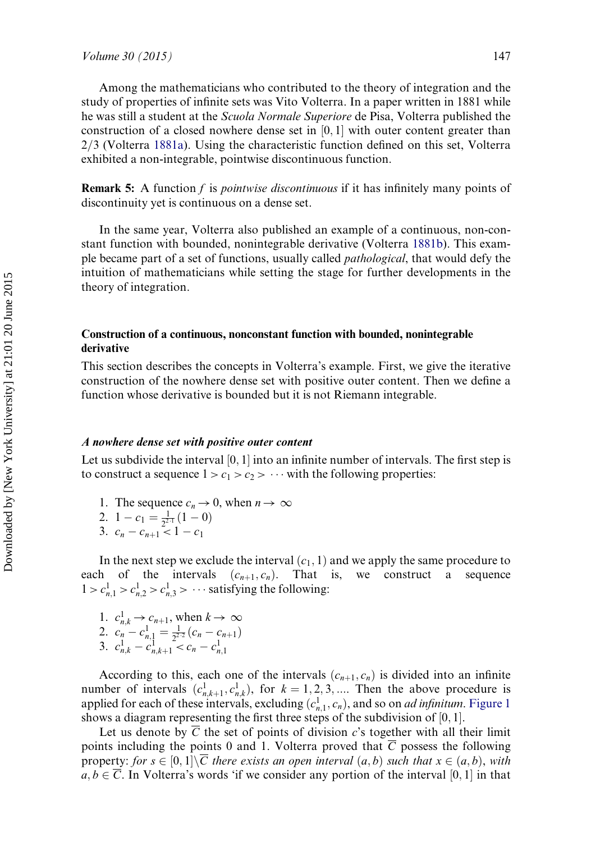Among the mathematicians who contributed to the theory of integration and the study of properties of infinite sets was Vito Volterra. In a paper written in 1881 while he was still a student at the Scuola Normale Superiore de Pisa, Volterra published the construction of a closed nowhere dense set in  $[0, 1]$  with outer content greater than  $2/3$  (Volterra [1881a](#page-11-8)). Using the characteristic function defined on this set, Volterra exhibited a non-integrable, pointwise discontinuous function.

**Remark 5:** A function f is *pointwise discontinuous* if it has infinitely many points of discontinuity yet is continuous on a dense set.

In the same year, Volterra also published an example of a continuous, non-constant function with bounded, nonintegrable derivative (Volterra [1881b\)](#page-11-9). This example became part of a set of functions, usually called pathological, that would defy the intuition of mathematicians while setting the stage for further developments in the theory of integration.

#### Construction of a continuous, nonconstant function with bounded, nonintegrable derivative

This section describes the concepts in Volterra's example. First, we give the iterative construction of the nowhere dense set with positive outer content. Then we define a function whose derivative is bounded but it is not Riemann integrable.

#### A nowhere dense set with positive outer content

Let us subdivide the interval  $[0, 1]$  into an infinite number of intervals. The first step is to construct a sequence  $1 > c_1 > c_2 > \cdots$  with the following properties:

- 1. The sequence  $c_n \to 0$ , when  $n \to \infty$
- 2.  $1 c_1 = \frac{1}{2^{2 \cdot 1}} (1 0)$ <br>3.  $c = c_1$   $\leq 1 c_1$
- 3.  $c_n c_{n+1} < 1 c_1$

In the next step we exclude the interval  $(c_1, 1)$  and we apply the same procedure to <br>h of the intervals  $(c_{n+1}, c_n)$ . That is, we construct a sequence each of the intervals  $(c_{n+1}, c_n)$ . That is,  $1 > c_{n,1}^1 > c_{n,2}^1 > c_{n,3}^1 > \cdots$  satisfying the following:

- 1.  $c_{n,k}^1 \rightarrow c_{n+1}$ , when  $k \rightarrow \infty$ 2.  $c_n - c_{n,1}^1 = \frac{1}{2^{2.2}}(c_n - c_{n+1})$ <br>3.  $c_{n,k}^1 - c_{n,k+1}^1 < c_n - c_{n,1}^1$
- 

According to this, each one of the intervals  $(c_{n+1}, c_n)$  is divided into an infinite number of intervals  $(c_{n,k+1}^1, c_{n,k}^1)$ , for  $k = 1, 2, 3, ...$  Then the above procedure is applied for each of these intervals, excluding  $(c_{n,1}^1, c_n)$ , and so on *ad infinitum*. [Figure 1](#page-7-0)<br>shows a diagram representing the first three steps of the subdivision of [0, 1] shows a diagram representing the first three steps of the subdivision of  $[0, 1]$ .

Let us denote by  $\overline{C}$  the set of points of division c's together with all their limit points including the points 0 and 1. Volterra proved that  $\overline{C}$  possess the following property: for  $s \in [0,1]\backslash\overline{C}$  there exists an open interval  $(a,b)$  such that  $x \in (a,b)$ , with  $a, b \in \overline{C}$ . In Volterra's words 'if we consider any portion of the interval [0, 1] in that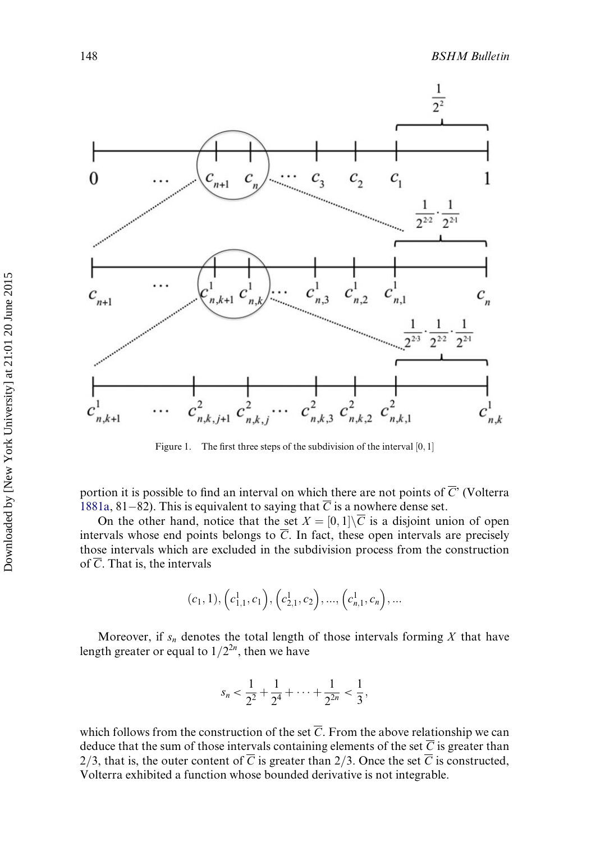<span id="page-7-0"></span>

Figure 1. The first three steps of the subdivision of the interval  $[0, 1]$ 

portion it is possible to find an interval on which there are not points of  $\overline{C}$ . (Volterra [1881a,](#page-11-8) 81-82). This is equivalent to saying that  $\overline{C}$  is a nowhere dense set.

On the other hand, notice that the set  $X = [0,1] \setminus \overline{C}$  is a disjoint union of open intervals whose end points belongs to  $\overline{C}$ . In fact, these open intervals are precisely those intervals which are excluded in the subdivision process from the construction of  $\overline{C}$ . That is, the intervals

$$
(c_1, 1), (c_{1,1}^1, c_1), (c_{2,1}^1, c_2), ..., (c_{n,1}^1, c_n), ...
$$

Moreover, if  $s_n$  denotes the total length of those intervals forming X that have length greater or equal to  $1/2^{2n}$ , then we have

$$
s_n < \frac{1}{2^2} + \frac{1}{2^4} + \dots + \frac{1}{2^{2n}} < \frac{1}{3},
$$

which follows from the construction of the set  $\overline{C}$ . From the above relationship we can deduce that the sum of those intervals containing elements of the set  $\overline{C}$  is greater than 2/3, that is, the outer content of  $\overline{C}$  is greater than 2/3. Once the set  $\overline{C}$  is constructed, Volterra exhibited a function whose bounded derivative is not integrable.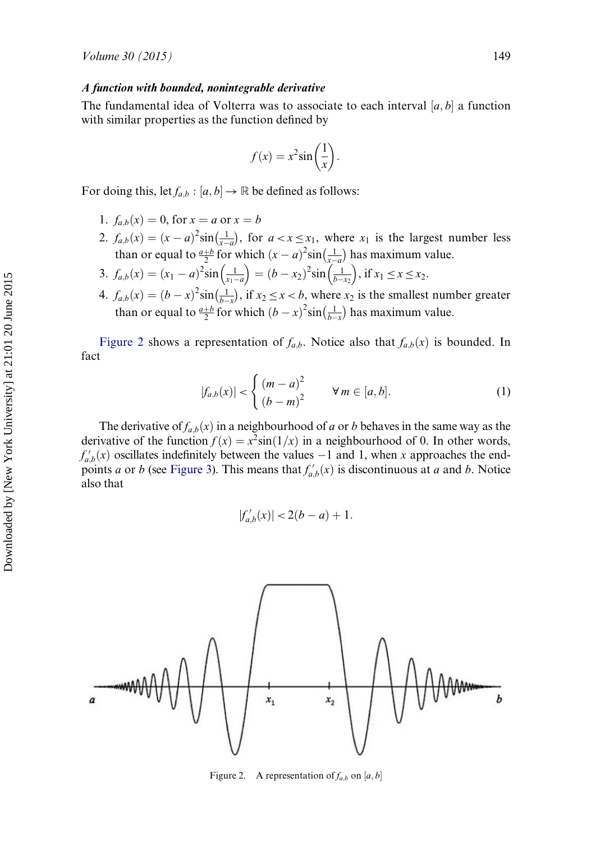#### A function with bounded, nonintegrable derivative

The fundamental idea of Volterra was to associate to each interval  $[a, b]$  a function with similar properties as the function defined by

$$
f(x) = x^2 \sin\left(\frac{1}{x}\right).
$$

For doing this, let  $f_{a,b} : [a,b] \to \mathbb{R}$  be defined as follows:

- 1.  $f_{ab}(x) = 0$ , for  $x = a$  or  $x = b$
- 2.  $f_{a,b}(x) = (x a)^2 \sin(\frac{1}{x-a})$ , for  $a < x \leq x_1$ , where  $x_1$  is the largest number less  $x_a$ ,  $y_a$ ,  $y_b$  =  $y_a$  a)  $\sin(y_a - a)$ , for  $a \le x \le x_1$ , where  $x_1$  is the largest in than or equal to  $\frac{a+b}{b}$  for which  $(x - a)^2 \sin(\frac{1}{b-a})$  has maximum value.
- $x-a$ 3.  $f_{a,b}(x) = (x_1 - a)^2 \sin\left(\frac{1}{x_1 - a}\right)$  $\left(\frac{1}{x_1-a}\right) = (b-x_2)^2 \sin \left(\frac{1}{b-x_2}\right)$  $\left(\frac{1}{b-x_2}\right)$ , if  $x_1 \leq x \leq x_2$ .
- 4.  $f_{a,b}(x) = (b-x)^2 \sin(\frac{1}{b-x})$ , if  $x_2 \le x < b$ , where  $x_2$  is the smallest number greater than or equal to  $\frac{a+b}{2}$  for which  $(b-x)^2 \sin(\frac{1}{b-x})$  has maximum value.

[Figure 2](#page-8-0) shows a representation of  $f_{a,b}$ . Notice also that  $f_{a,b}(x)$  is bounded. In fact

$$
|f_{a,b}(x)| < \begin{cases} (m-a)^2 & \forall m \in [a,b]. \\ (b-m)^2 & \end{cases}
$$
 (1)

The derivative of  $f_{a,b}(x)$  in a neighbourhood of a or b behaves in the same way as the derivative of the function  $f(x) = x^2 \sin(1/x)$  in a neighbourhood of 0. In other words,  $f'_{a,b}(x)$  oscillates indefinitely between the values  $-1$  and 1, when x approaches the end-<br>points a or b (see Figure 3). This means that  $f'(x)$  is discontinuous at a and b. Notice points *a* or *b* (see [Figure 3\)](#page-9-0). This means that  $f'_{a,b}(x)$  is discontinuous at *a* and *b*. Notice also that

$$
|f'_{a,b}(x)| < 2(b-a) + 1.
$$

<span id="page-8-0"></span>

Figure 2. A representation of  $f_{a,b}$  on  $[a,b]$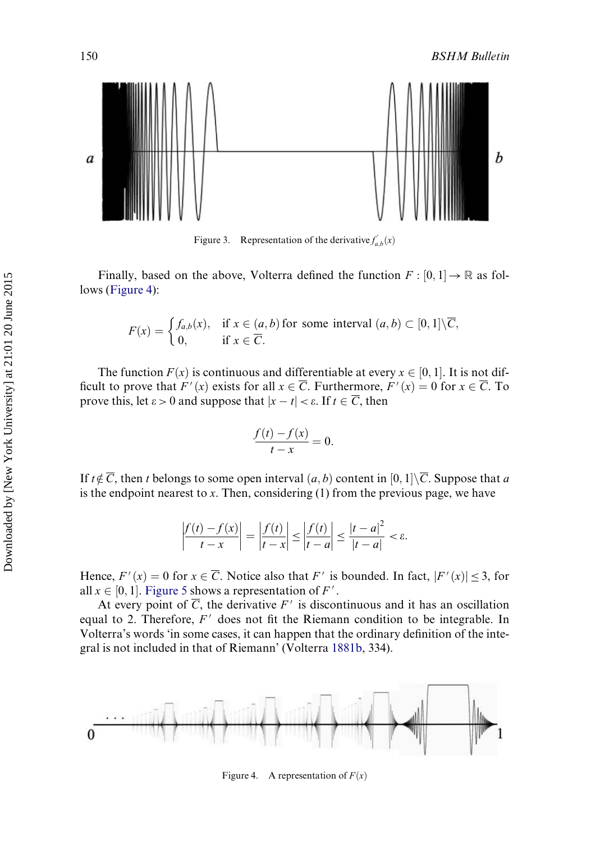<span id="page-9-0"></span>

Figure 3. Representation of the derivative  $f_{a,b}^{\dagger}(x)$ 

Finally, based on the above, Volterra defined the function  $F : [0, 1] \rightarrow \mathbb{R}$  as follows ([Figure 4](#page-9-1)):

$$
F(x) = \begin{cases} f_{a,b}(x), & \text{if } x \in (a,b) \text{ for some interval } (a,b) \subset [0,1] \setminus \overline{C}, \\ 0, & \text{if } x \in \overline{C}. \end{cases}
$$

The function  $F(x)$  is continuous and differentiable at every  $x \in [0, 1]$ . It is not difficult to prove that  $F'(x)$  exists for all  $x \in C$ . Furthermore,  $F'(x) = 0$  for  $x \in C$ . To prove this let  $s > 0$  and suppose that  $|x - t| < s$ . If  $t \in \overline{C}$  then prove this, let  $\varepsilon > 0$  and suppose that  $|x - t| < \varepsilon$ . If  $t \in \overline{C}$ , then

$$
\frac{f(t) - f(x)}{t - x} = 0.
$$

If  $t \notin \overline{C}$ , then t belongs to some open interval  $(a, b)$  content in  $[0, 1] \setminus \overline{C}$ . Suppose that a is the endpoint nearest to  $x$ . Then, considering (1) from the previous page, we have

$$
\left|\frac{f(t)-f(x)}{t-x}\right|=\left|\frac{f(t)}{t-x}\right|\leq\left|\frac{f(t)}{t-a}\right|\leq\frac{|t-a|^2}{|t-a|}<\varepsilon.
$$

Hence,  $F'(x) = 0$  for  $x \in \overline{C}$ . Notice also that  $F'$  is bounded. In fact,  $|F'(x)| \le 3$ , for all  $x \in [0, 1]$ . Figure 5 shows a representation of  $F'$ . all  $x \in [0, 1]$ . [Figure 5](#page-10-0) shows a representation of F'.<br>At every point of  $\overline{C}$ , the derivative F' is discon-

At every point of  $\overline{C}$ , the derivative F' is discontinuous and it has an oscillation equal to 2. Therefore,  $F'$  does not fit the Riemann condition to be integrable. In Volterra's words 'in some cases, it can happen that the ordinary definition of the integral is not included in that of Riemann' (Volterra [1881b](#page-11-9), 334).

<span id="page-9-1"></span>

Figure 4. A representation of  $F(x)$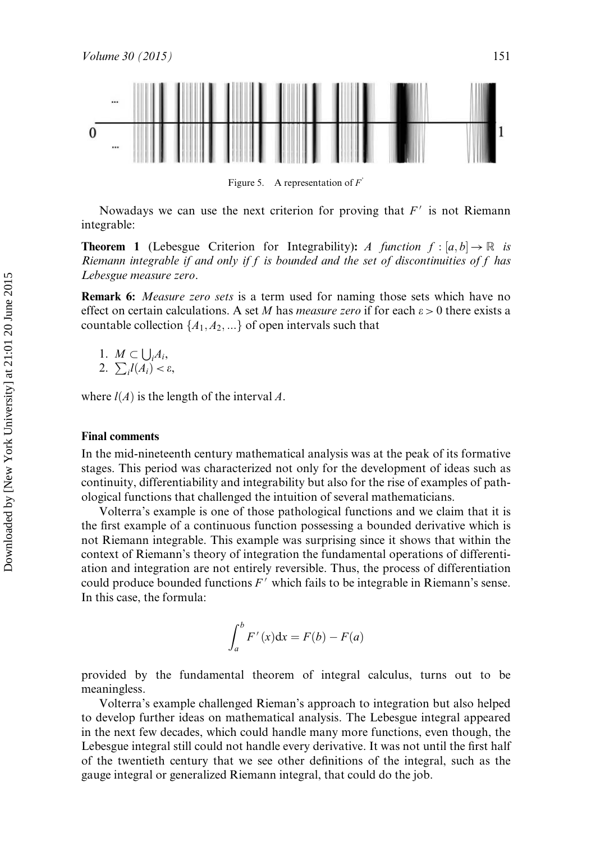<span id="page-10-0"></span>

Figure 5. A representation of  $F$ 

Nowadays we can use the next criterion for proving that  $F'$  is not Riemann integrable:

**Theorem 1** (Lebesgue Criterion for Integrability): A function  $f : [a, b] \rightarrow \mathbb{R}$  is Riemann integrable if and only if f is bounded and the set of discontinuities of f has Lebesgue measure zero.

**Remark 6:** Measure zero sets is a term used for naming those sets which have no effect on certain calculations. A set M has *measure zero* if for each  $\varepsilon > 0$  there exists a countable collection  $\{A_1, A_2, ...\}$  of open intervals such that

1.  $M \subset \bigcup_i A_i$ ,<br>  $2 \sum l(A_i) \leq \emptyset$ 2.  $\sum_{i} l(A_i) < \varepsilon$ ,

where  $l(A)$  is the length of the interval A.

#### Final comments

In the mid-nineteenth century mathematical analysis was at the peak of its formative stages. This period was characterized not only for the development of ideas such as continuity, differentiability and integrability but also for the rise of examples of pathological functions that challenged the intuition of several mathematicians.

Volterra's example is one of those pathological functions and we claim that it is the first example of a continuous function possessing a bounded derivative which is not Riemann integrable. This example was surprising since it shows that within the context of Riemann's theory of integration the fundamental operations of differentiation and integration are not entirely reversible. Thus, the process of differentiation could produce bounded functions  $F'$  which fails to be integrable in Riemann's sense. In this case, the formula:

$$
\int_{a}^{b} F'(x) \mathrm{d}x = F(b) - F(a)
$$

provided by the fundamental theorem of integral calculus, turns out to be meaningless.

Volterra's example challenged Rieman's approach to integration but also helped to develop further ideas on mathematical analysis. The Lebesgue integral appeared in the next few decades, which could handle many more functions, even though, the Lebesgue integral still could not handle every derivative. It was not until the first half of the twentieth century that we see other definitions of the integral, such as the gauge integral or generalized Riemann integral, that could do the job.